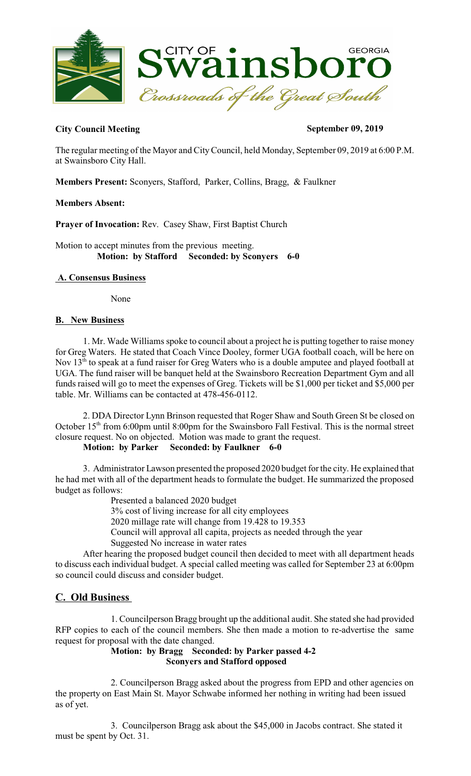

# **City Council Meeting September 09, 2019**

The regular meeting of the Mayor and CityCouncil, held Monday, September 09, 2019 at 6:00 P.M. at Swainsboro City Hall.

**Members Present:** Sconyers, Stafford, Parker, Collins, Bragg, & Faulkner

# **Members Absent:**

**Prayer of Invocation:** Rev. Casey Shaw, First Baptist Church

Motion to accept minutes from the previous meeting.  **Motion: by Stafford Seconded: by Sconyers 6-0** 

# **A. Consensus Business**

None

# **B. New Business**

1. Mr. Wade Williams spoke to council about a project he is putting together to raise money for Greg Waters. He stated that Coach Vince Dooley, former UGA football coach, will be here on Nov 13<sup>th</sup> to speak at a fund raiser for Greg Waters who is a double amputee and played football at UGA. The fund raiser will be banquet held at the Swainsboro Recreation Department Gym and all funds raised will go to meet the expenses of Greg. Tickets will be \$1,000 per ticket and \$5,000 per table. Mr. Williams can be contacted at 478-456-0112.

2. DDA Director Lynn Brinson requested that Roger Shaw and South Green St be closed on October 15<sup>th</sup> from 6:00pm until 8:00pm for the Swainsboro Fall Festival. This is the normal street closure request. No on objected. Motion was made to grant the request.

# **Motion: by Parker Seconded: by Faulkner 6-0**

3. Administrator Lawson presented the proposed 2020 budget for the city. He explained that he had met with all of the department heads to formulate the budget. He summarized the proposed budget as follows:

Presented a balanced 2020 budget

3% cost of living increase for all city employees

2020 millage rate will change from 19.428 to 19.353

Council will approval all capita, projects as needed through the year

Suggested No increase in water rates

After hearing the proposed budget council then decided to meet with all department heads to discuss each individual budget. A special called meeting was called for September 23 at 6:00pm so council could discuss and consider budget.

# **C. Old Business**

1. Councilperson Bragg brought up the additional audit. She stated she had provided RFP copies to each of the council members. She then made a motion to re-advertise the same request for proposal with the date changed.

# **Motion: by Bragg Seconded: by Parker passed 4-2 Sconyers and Stafford opposed**

2. Councilperson Bragg asked about the progress from EPD and other agencies on the property on East Main St. Mayor Schwabe informed her nothing in writing had been issued as of yet.

3. Councilperson Bragg ask about the \$45,000 in Jacobs contract. She stated it must be spent by Oct. 31.